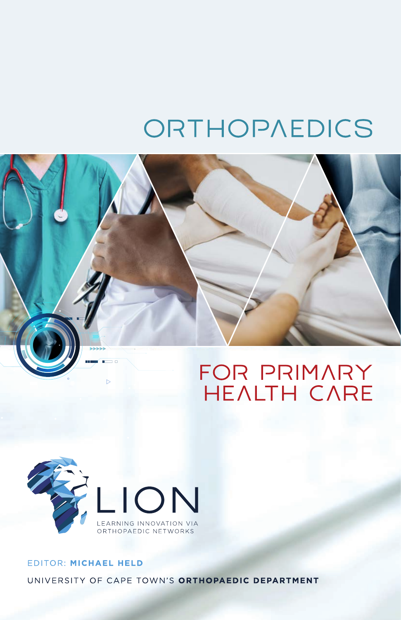# ORTHOPAEDICS





## EDITOR: MICHAEL HELD UNIVERSITY OF CAPE TOWN'S ORTHOPAEDIC DEPARTMENT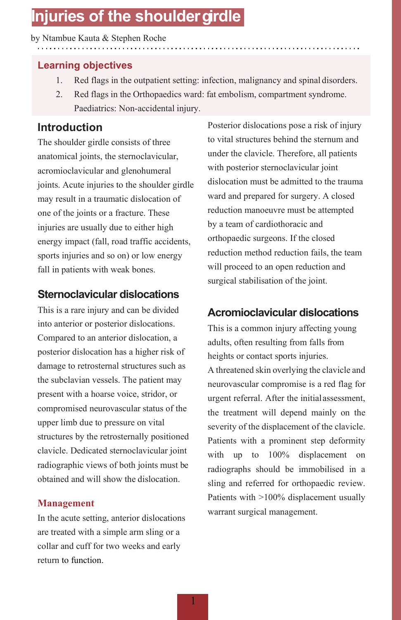## **Injuries of the shouldergirdle**

#### by Ntambue Kauta & Stephen Roche

## **Learning objectives**

- 1. Red flags in the outpatient setting: infection, malignancy and spinal disorders.
- 2. Red flags in the Orthopaedics ward: fat embolism, compartment syndrome. Paediatrics: Non-accidental injury.

## **Introduction**

The shoulder girdle consists of three anatomical joints, the sternoclavicular, acromioclavicular and glenohumeral joints. Acute injuries to the shoulder girdle may result in a traumatic dislocation of one of the joints or a fracture. These injuries are usually due to either high energy impact (fall, road traffic accidents, sports injuries and so on) or low energy fall in patients with weak bones.

## **Sternoclavicular dislocations**

This is a rare injury and can be divided into anterior or posterior dislocations. Compared to an anterior dislocation, a posterior dislocation has a higher risk of damage to retrosternal structures such as the subclavian vessels. The patient may present with a hoarse voice, stridor, or compromised neurovascular status of the upper limb due to pressure on vital structures by the retrosternally positioned clavicle. Dedicated sternoclavicular joint radiographic views of both joints must be obtained and will show the dislocation.

### **Management**

In the acute setting, anterior dislocations are treated with a simple arm sling or a collar and cuff for two weeks and early return to function.

Posterior dislocations pose a risk of injury to vital structures behind the sternum and under the clavicle. Therefore, all patients with posterior sternoclavicular joint dislocation must be admitted to the trauma ward and prepared for surgery. A closed reduction manoeuvre must be attempted by a team of cardiothoracic and orthopaedic surgeons. If the closed reduction method reduction fails, the team will proceed to an open reduction and surgical stabilisation of the joint.

## **Acromioclavicular dislocations**

This is a common injury affecting young adults, often resulting from falls from heights or contact sports injuries. A threatened skin overlying the clavicle and neurovascular compromise is a red flag for urgent referral. After the initialassessment, the treatment will depend mainly on the severity of the displacement of the clavicle. Patients with a prominent step deformity with up to 100% displacement on radiographs should be immobilised in a sling and referred for orthopaedic review. Patients with >100% displacement usually warrant surgical management.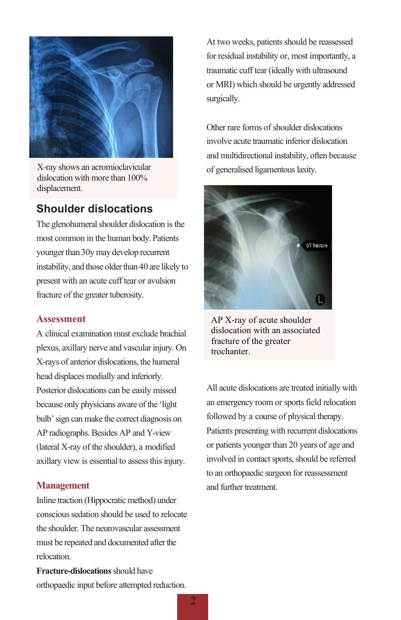

X-ray shows an acromioclavicular dislocation with more than 100% displacement.

## **Shoulder dislocations**

The glenohumeral shoulder dislocation is the most common in the human body. Patients younger than 30y may develop recurrent instability, and those older than 40 are likely to present with an acute cuff tear or avulsion fracture of the greater tuberosity.

#### **Assessment**

A clinical examination must exclude brachial plexus, axillary nerve and vascular injury. On X-rays of anterior dislocations, the humeral head displaces medially and inferiorly. Posterior dislocations can be easily missed because only physicians aware of the 'light bulb' sign can make the correct diagnosis on AP radiographs. Besides AP and Y-view (lateral X-ray of the shoulder), a modified axillary view is essential to assess this injury.

#### **Management**

Inline traction (Hippocratic method) under conscious sedation should be used to relocate the shoulder. The neurovascular assessment must be repeated and documented after the relocation.

**Fracture-dislocations** should have orthopaedic input before attempted reduction. At two weeks, patients should be reassessed for residual instability or, most importantly, a traumatic cuff tear (ideally with ultrasound or MRI) which should be urgently addressed surgically.

Other rare forms of shoulder dislocations involve acute traumatic inferior dislocation and multidirectional instability, often because of generalised ligamentous laxity.



AP X-ray of acute shoulder dislocation with an associated fracture of the greater trochanter.

All acute dislocations are treated initially with an emergency room or sports field relocation followed by a course of physical therapy. Patients presenting with recurrent dislocations or patients younger than 20 years of age and involved in contact sports, should be referred to an orthopaedic surgeon for reassessment and further treatment.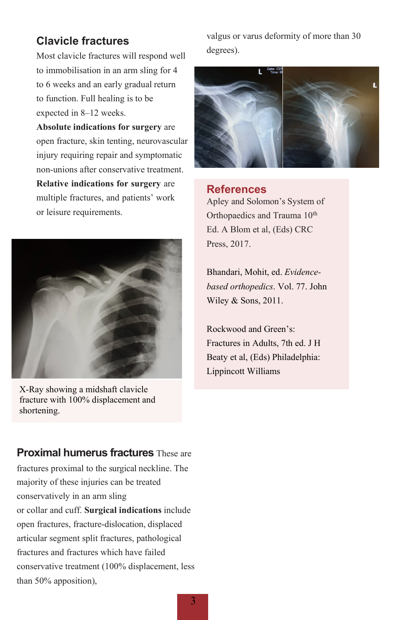## **Clavicle fractures**

Most clavicle fractures will respond well to immobilisation in an arm sling for 4 to 6 weeks and an early gradual return to function. Full healing is to be expected in 8–12 weeks.

**Absolute indications for surgery** are open fracture, skin tenting, neurovascular injury requiring repair and symptomatic non-unions after conservative treatment. **Relative indications for surgery** are multiple fractures, and patients' work or leisure requirements.



X-Ray showing a midshaft clavicle fracture with 100% displacement and shortening.

valgus or varus deformity of more than 30 degrees).



#### **References**

Apley and Solomon's System of Orthopaedics and Trauma 10<sup>th</sup> Ed. A Blom et al, (Eds) CRC Press, 2017.

Bhandari, Mohit, ed. *Evidencebased orthopedics*. Vol. 77. John Wiley & Sons, 2011.

Rockwood and Green's: Fractures in Adults, 7th ed. J H Beaty et al, (Eds) Philadelphia: Lippincott Williams

**Proximal humerus fractures** These are fractures proximal to the surgical neckline. The majority of these injuries can be treated conservatively in an arm sling or collar and cuff. **Surgical indications** include open fractures, fracture-dislocation, displaced articular segment split fractures, pathological fractures and fractures which have failed conservative treatment (100% displacement, less than 50% apposition),